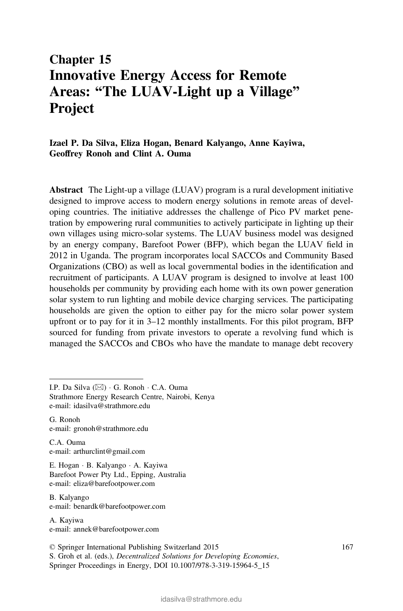# Chapter 15 Innovative Energy Access for Remote Areas: "The LUAV-Light up a Village" Project

## Izael P. Da Silva, Eliza Hogan, Benard Kalyango, Anne Kayiwa, Geoffrey Ronoh and Clint A. Ouma

Abstract The Light-up a village (LUAV) program is a rural development initiative designed to improve access to modern energy solutions in remote areas of developing countries. The initiative addresses the challenge of Pico PV market penetration by empowering rural communities to actively participate in lighting up their own villages using micro-solar systems. The LUAV business model was designed by an energy company, Barefoot Power (BFP), which began the LUAV field in 2012 in Uganda. The program incorporates local SACCOs and Community Based Organizations (CBO) as well as local governmental bodies in the identification and recruitment of participants. A LUAV program is designed to involve at least 100 households per community by providing each home with its own power generation solar system to run lighting and mobile device charging services. The participating households are given the option to either pay for the micro solar power system upfront or to pay for it in 3–12 monthly installments. For this pilot program, BFP sourced for funding from private investors to operate a revolving fund which is managed the SACCOs and CBOs who have the mandate to manage debt recovery

I.P. Da Silva (&) G. Ronoh C.A. Ouma

Strathmore Energy Research Centre, Nairobi, Kenya e-mail: idasilva@strathmore.edu

G. Ronoh e-mail: gronoh@strathmore.edu

C.A. Ouma e-mail: arthurclint@gmail.com

E. Hogan · B. Kalyango · A. Kayiwa Barefoot Power Pty Ltd., Epping, Australia e-mail: eliza@barefootpower.com

B. Kalyango e-mail: benardk@barefootpower.com

A. Kayiwa e-mail: annek@barefootpower.com

© Springer International Publishing Switzerland 2015

S. Groh et al. (eds.), Decentralized Solutions for Developing Economies, Springer Proceedings in Energy, DOI 10.1007/978-3-319-15964-5\_15

167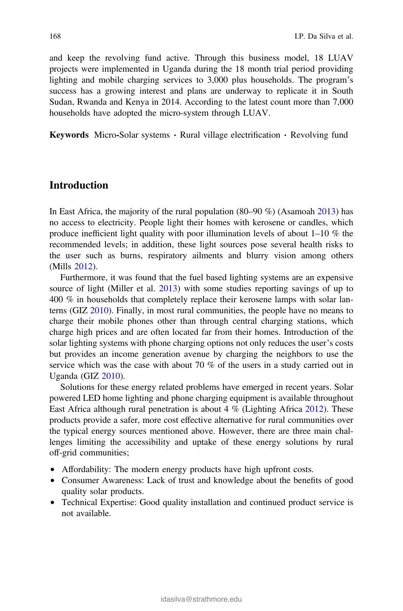and keep the revolving fund active. Through this business model, 18 LUAV projects were implemented in Uganda during the 18 month trial period providing lighting and mobile charging services to 3,000 plus households. The program's success has a growing interest and plans are underway to replicate it in South Sudan, Rwanda and Kenya in 2014. According to the latest count more than 7,000 households have adopted the micro-system through LUAV.

**Keywords** Micro-Solar systems  $\cdot$  Rural village electrification  $\cdot$  Revolving fund

## Introduction

In East Africa, the majority of the rural population (80–90 %) (Asamoah [2013](#page-8-0)) has no access to electricity. People light their homes with kerosene or candles, which produce inefficient light quality with poor illumination levels of about  $1-10\%$  the recommended levels; in addition, these light sources pose several health risks to the user such as burns, respiratory ailments and blurry vision among others (Mills [2012](#page-8-0)).

Furthermore, it was found that the fuel based lighting systems are an expensive source of light (Miller et al. [2013\)](#page-8-0) with some studies reporting savings of up to 400 % in households that completely replace their kerosene lamps with solar lanterns (GIZ [2010](#page-8-0)). Finally, in most rural communities, the people have no means to charge their mobile phones other than through central charging stations, which charge high prices and are often located far from their homes. Introduction of the solar lighting systems with phone charging options not only reduces the user's costs but provides an income generation avenue by charging the neighbors to use the service which was the case with about 70 % of the users in a study carried out in Uganda (GIZ [2010](#page-8-0)).

Solutions for these energy related problems have emerged in recent years. Solar powered LED home lighting and phone charging equipment is available throughout East Africa although rural penetration is about 4 % (Lighting Africa [2012\)](#page-8-0). These products provide a safer, more cost effective alternative for rural communities over the typical energy sources mentioned above. However, there are three main challenges limiting the accessibility and uptake of these energy solutions by rural off-grid communities;

- Affordability: The modern energy products have high upfront costs.
- Consumer Awareness: Lack of trust and knowledge about the benefits of good quality solar products.
- Technical Expertise: Good quality installation and continued product service is not available.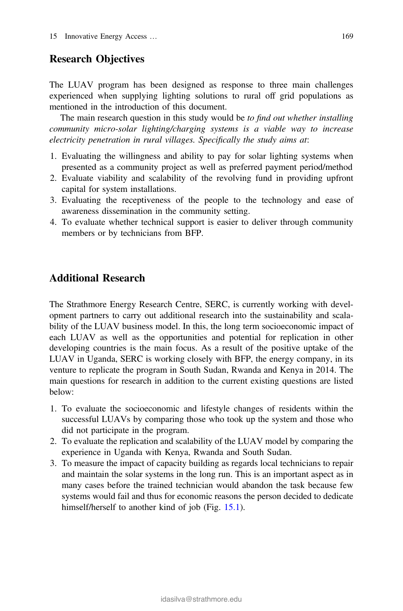# Research Objectives

The LUAV program has been designed as response to three main challenges experienced when supplying lighting solutions to rural off grid populations as mentioned in the introduction of this document.

The main research question in this study would be *to find out whether installing* community micro-solar lighting/charging systems is a viable way to increase electricity penetration in rural villages. Specifically the study aims at:

- 1. Evaluating the willingness and ability to pay for solar lighting systems when presented as a community project as well as preferred payment period/method
- 2. Evaluate viability and scalability of the revolving fund in providing upfront capital for system installations.
- 3. Evaluating the receptiveness of the people to the technology and ease of awareness dissemination in the community setting.
- 4. To evaluate whether technical support is easier to deliver through community members or by technicians from BFP.

# Additional Research

The Strathmore Energy Research Centre, SERC, is currently working with development partners to carry out additional research into the sustainability and scalability of the LUAV business model. In this, the long term socioeconomic impact of each LUAV as well as the opportunities and potential for replication in other developing countries is the main focus. As a result of the positive uptake of the LUAV in Uganda, SERC is working closely with BFP, the energy company, in its venture to replicate the program in South Sudan, Rwanda and Kenya in 2014. The main questions for research in addition to the current existing questions are listed below:

- 1. To evaluate the socioeconomic and lifestyle changes of residents within the successful LUAVs by comparing those who took up the system and those who did not participate in the program.
- 2. To evaluate the replication and scalability of the LUAV model by comparing the experience in Uganda with Kenya, Rwanda and South Sudan.
- 3. To measure the impact of capacity building as regards local technicians to repair and maintain the solar systems in the long run. This is an important aspect as in many cases before the trained technician would abandon the task because few systems would fail and thus for economic reasons the person decided to dedicate himself/herself to another kind of job (Fig. [15.1\)](#page-3-0).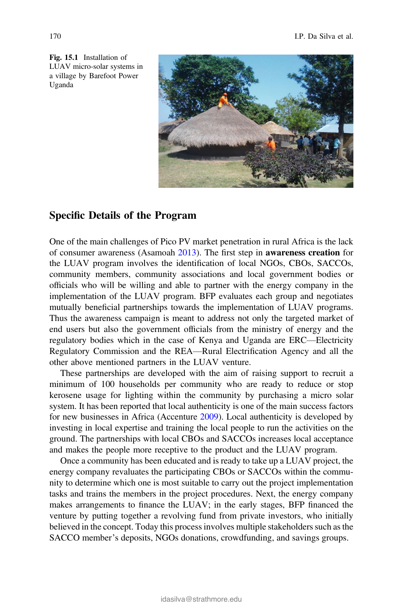<span id="page-3-0"></span>Fig. 15.1 Installation of LUAV micro-solar systems in a village by Barefoot Power Uganda



#### Specific Details of the Program

One of the main challenges of Pico PV market penetration in rural Africa is the lack of consumer awareness (Asamoah [2013](#page-8-0)). The first step in awareness creation for the LUAV program involves the identification of local NGOs, CBOs, SACCOs, community members, community associations and local government bodies or officials who will be willing and able to partner with the energy company in the implementation of the LUAV program. BFP evaluates each group and negotiates mutually beneficial partnerships towards the implementation of LUAV programs. Thus the awareness campaign is meant to address not only the targeted market of end users but also the government officials from the ministry of energy and the regulatory bodies which in the case of Kenya and Uganda are ERC—Electricity Regulatory Commission and the REA—Rural Electrification Agency and all the other above mentioned partners in the LUAV venture.

These partnerships are developed with the aim of raising support to recruit a minimum of 100 households per community who are ready to reduce or stop kerosene usage for lighting within the community by purchasing a micro solar system. It has been reported that local authenticity is one of the main success factors for new businesses in Africa (Accenture [2009](#page-8-0)). Local authenticity is developed by investing in local expertise and training the local people to run the activities on the ground. The partnerships with local CBOs and SACCOs increases local acceptance and makes the people more receptive to the product and the LUAV program.

Once a community has been educated and is ready to take up a LUAV project, the energy company revaluates the participating CBOs or SACCOs within the community to determine which one is most suitable to carry out the project implementation tasks and trains the members in the project procedures. Next, the energy company makes arrangements to finance the LUAV; in the early stages, BFP financed the venture by putting together a revolving fund from private investors, who initially believed in the concept. Today this process involves multiple stakeholders such as the SACCO member's deposits, NGOs donations, crowdfunding, and savings groups.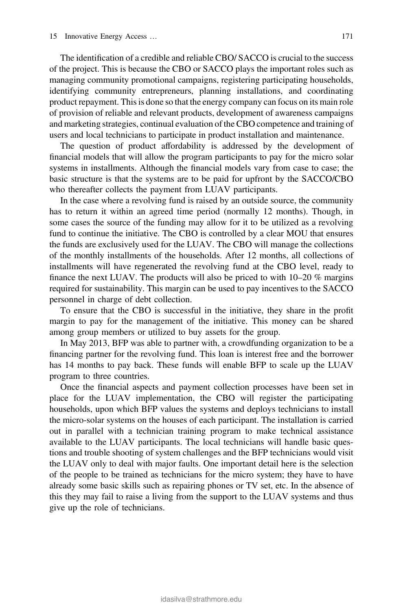The identification of a credible and reliable CBO/ SACCO is crucial to the success of the project. This is because the CBO or SACCO plays the important roles such as managing community promotional campaigns, registering participating households, identifying community entrepreneurs, planning installations, and coordinating product repayment. This is done so that the energy company can focus on its main role of provision of reliable and relevant products, development of awareness campaigns and marketing strategies, continual evaluation of the CBO competence and training of users and local technicians to participate in product installation and maintenance.

The question of product affordability is addressed by the development of financial models that will allow the program participants to pay for the micro solar systems in installments. Although the financial models vary from case to case; the basic structure is that the systems are to be paid for upfront by the SACCO/CBO who thereafter collects the payment from LUAV participants.

In the case where a revolving fund is raised by an outside source, the community has to return it within an agreed time period (normally 12 months). Though, in some cases the source of the funding may allow for it to be utilized as a revolving fund to continue the initiative. The CBO is controlled by a clear MOU that ensures the funds are exclusively used for the LUAV. The CBO will manage the collections of the monthly installments of the households. After 12 months, all collections of installments will have regenerated the revolving fund at the CBO level, ready to finance the next LUAV. The products will also be priced to with 10–20 % margins required for sustainability. This margin can be used to pay incentives to the SACCO personnel in charge of debt collection.

To ensure that the CBO is successful in the initiative, they share in the profit margin to pay for the management of the initiative. This money can be shared among group members or utilized to buy assets for the group.

In May 2013, BFP was able to partner with, a crowdfunding organization to be a financing partner for the revolving fund. This loan is interest free and the borrower has 14 months to pay back. These funds will enable BFP to scale up the LUAV program to three countries.

Once the financial aspects and payment collection processes have been set in place for the LUAV implementation, the CBO will register the participating households, upon which BFP values the systems and deploys technicians to install the micro-solar systems on the houses of each participant. The installation is carried out in parallel with a technician training program to make technical assistance available to the LUAV participants. The local technicians will handle basic questions and trouble shooting of system challenges and the BFP technicians would visit the LUAV only to deal with major faults. One important detail here is the selection of the people to be trained as technicians for the micro system; they have to have already some basic skills such as repairing phones or TV set, etc. In the absence of this they may fail to raise a living from the support to the LUAV systems and thus give up the role of technicians.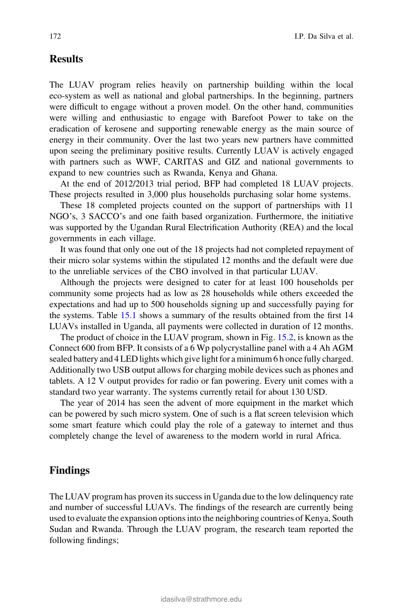# Results

The LUAV program relies heavily on partnership building within the local eco-system as well as national and global partnerships. In the beginning, partners were difficult to engage without a proven model. On the other hand, communities were willing and enthusiastic to engage with Barefoot Power to take on the eradication of kerosene and supporting renewable energy as the main source of energy in their community. Over the last two years new partners have committed upon seeing the preliminary positive results. Currently LUAV is actively engaged with partners such as WWF, CARITAS and GIZ and national governments to expand to new countries such as Rwanda, Kenya and Ghana.

At the end of 2012/2013 trial period, BFP had completed 18 LUAV projects. These projects resulted in 3,000 plus households purchasing solar home systems.

These 18 completed projects counted on the support of partnerships with 11 NGO's, 3 SACCO's and one faith based organization. Furthermore, the initiative was supported by the Ugandan Rural Electrification Authority (REA) and the local governments in each village.

It was found that only one out of the 18 projects had not completed repayment of their micro solar systems within the stipulated 12 months and the default were due to the unreliable services of the CBO involved in that particular LUAV.

Although the projects were designed to cater for at least 100 households per community some projects had as low as 28 households while others exceeded the expectations and had up to 500 households signing up and successfully paying for the systems. Table [15.1](#page-6-0) shows a summary of the results obtained from the first 14 LUAVs installed in Uganda, all payments were collected in duration of 12 months.

The product of choice in the LUAV program, shown in Fig. [15.2](#page-6-0), is known as the Connect 600 from BFP. It consists of a 6 Wp polycrystalline panel with a 4 Ah AGM sealed battery and 4 LED lights which give light for a minimum 6 h once fully charged. Additionally two USB output allows for charging mobile devices such as phones and tablets. A 12 V output provides for radio or fan powering. Every unit comes with a standard two year warranty. The systems currently retail for about 130 USD.

The year of 2014 has seen the advent of more equipment in the market which can be powered by such micro system. One of such is a flat screen television which some smart feature which could play the role of a gateway to internet and thus completely change the level of awareness to the modern world in rural Africa.

## Findings

The LUAV program has proven its success in Uganda due to the low delinquency rate and number of successful LUAVs. The findings of the research are currently being used to evaluate the expansion options into the neighboring countries of Kenya, South Sudan and Rwanda. Through the LUAV program, the research team reported the following findings;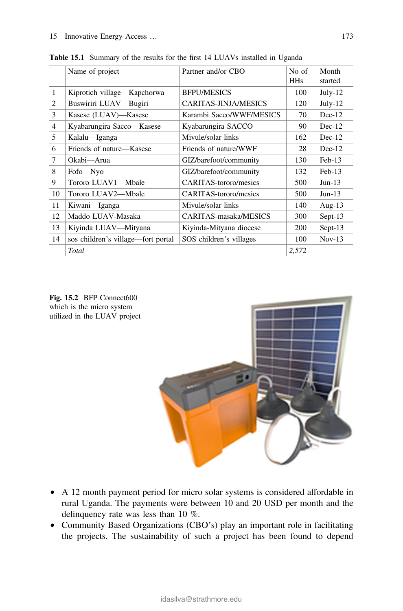|                | Name of project                    | Partner and/or CBO          | No of<br><b>HHs</b> | Month<br>started |
|----------------|------------------------------------|-----------------------------|---------------------|------------------|
| -1             | Kiprotich village—Kapchorwa        | <b>BFPU/MESICS</b>          | 100                 | $July-12$        |
| 2              | Buswiriri LUAV—Bugiri              | <b>CARITAS-JINJA/MESICS</b> | 120                 | $July-12$        |
| 3              | Kasese (LUAV)—Kasese               | Karambi Sacco/WWF/MESICS    | 70                  | $Dec-12$         |
| $\overline{4}$ | Kyabarungira Sacco-Kasese          | Kyabarungira SACCO          | 90                  | $Dec-12$         |
| 5              | Kalalu—Iganga                      | Mivule/solar links          | 162                 | $Dec-12$         |
| 6              | Friends of nature—Kasese           | Friends of nature/WWF       | 28                  | $Dec-12$         |
| $\tau$         | Okabi—Arua                         | GIZ/barefoot/community      | 130                 | $Feb-13$         |
| 8              | Fofo—Nyo                           | GIZ/barefoot/community      | 132                 | $Feb-13$         |
| 9              | Tororo LUAV1-Mbale                 | CARITAS-tororo/mesics       | 500                 | $Jun-13$         |
| 10             | Tororo LUAV2-Mbale                 | CARITAS-tororo/mesics       | 500                 | $Jun-13$         |
| 11             | Kiwani—Iganga                      | Mivule/solar links          | 140                 | Aug- $13$        |
| 12             | Maddo LUAV-Masaka                  | CARITAS-masaka/MESICS       | 300                 | $Sept-13$        |
| 13             | Kiyinda LUAV—Mityana               | Kiyinda-Mityana diocese     | 200                 | $Sept-13$        |
| 14             | sos children's village—fort portal | SOS children's villages     | 100                 | $Nov-13$         |
|                | Total                              |                             | 2,572               |                  |

<span id="page-6-0"></span>Table 15.1 Summary of the results for the first 14 LUAVs installed in Uganda

Fig. 15.2 BFP Connect600 which is the micro system utilized in the LUAV project



- A 12 month payment period for micro solar systems is considered affordable in rural Uganda. The payments were between 10 and 20 USD per month and the delinquency rate was less than 10 %.
- Community Based Organizations (CBO's) play an important role in facilitating the projects. The sustainability of such a project has been found to depend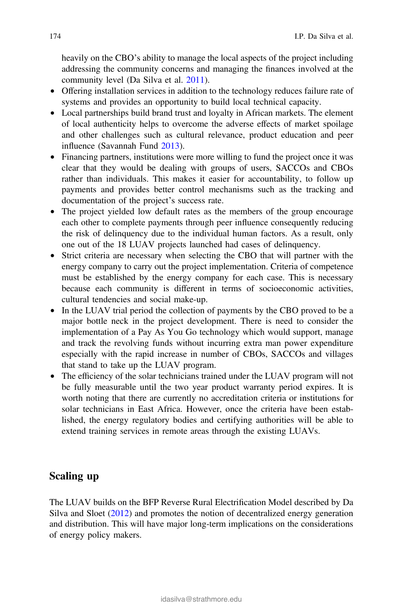heavily on the CBO's ability to manage the local aspects of the project including addressing the community concerns and managing the finances involved at the community level (Da Silva et al. [2011](#page-8-0)).

- Offering installation services in addition to the technology reduces failure rate of systems and provides an opportunity to build local technical capacity.
- Local partnerships build brand trust and loyalty in African markets. The element of local authenticity helps to overcome the adverse effects of market spoilage and other challenges such as cultural relevance, product education and peer influence (Savannah Fund [2013\)](#page-8-0).
- Financing partners, institutions were more willing to fund the project once it was clear that they would be dealing with groups of users, SACCOs and CBOs rather than individuals. This makes it easier for accountability, to follow up payments and provides better control mechanisms such as the tracking and documentation of the project's success rate.
- The project yielded low default rates as the members of the group encourage each other to complete payments through peer influence consequently reducing the risk of delinquency due to the individual human factors. As a result, only one out of the 18 LUAV projects launched had cases of delinquency.
- Strict criteria are necessary when selecting the CBO that will partner with the energy company to carry out the project implementation. Criteria of competence must be established by the energy company for each case. This is necessary because each community is different in terms of socioeconomic activities, cultural tendencies and social make-up.
- In the LUAV trial period the collection of payments by the CBO proved to be a major bottle neck in the project development. There is need to consider the implementation of a Pay As You Go technology which would support, manage and track the revolving funds without incurring extra man power expenditure especially with the rapid increase in number of CBOs, SACCOs and villages that stand to take up the LUAV program.
- The efficiency of the solar technicians trained under the LUAV program will not be fully measurable until the two year product warranty period expires. It is worth noting that there are currently no accreditation criteria or institutions for solar technicians in East Africa. However, once the criteria have been established, the energy regulatory bodies and certifying authorities will be able to extend training services in remote areas through the existing LUAVs.

# Scaling up

The LUAV builds on the BFP Reverse Rural Electrification Model described by Da Silva and Sloet ([2012\)](#page-8-0) and promotes the notion of decentralized energy generation and distribution. This will have major long-term implications on the considerations of energy policy makers.